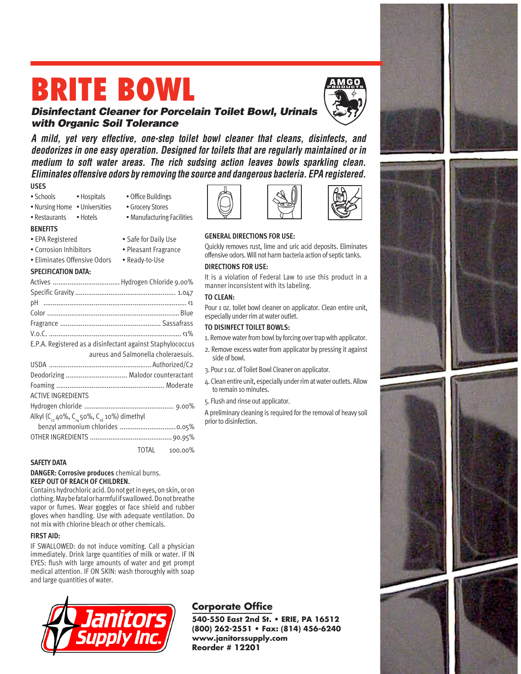# **BRITE BOWL**



## **Disinfectant Cleaner for Porcelain Toilet Bowl, Urinals with Organic Soil Tolerance**

**A mild, yet very effective, one-step toilet bowl cleaner that cleans, disinfects, and deodorizes in one easy operation. Designed for toilets that are regularly maintained or in medium to soft water areas. The rich sudsing action leaves bowls sparkling clean. Eliminates offensive odors by removing the source and dangerous bacteria. EPA registered.**

**USES**

**BENEFITS**

- Schools Hospitals Office Buildings
	-
- Nursing Home Universities Grocery Stores
- Restaurants Hotels Manufacturing Facilities
- EPA Registered Safe for Daily Use
- Corrosion Inhibitors Pleasant Fragrance
- Eliminates Offensive Odors Ready-to-Use

#### **SPECIFICATION DATA:**

|                                                                                | E.P.A. Registered as a disinfectant against Staphylococcus |
|--------------------------------------------------------------------------------|------------------------------------------------------------|
|                                                                                | aureus and Salmonella choleraesuis.                        |
|                                                                                |                                                            |
|                                                                                | Deodorizing  Malodor counteractant                         |
|                                                                                |                                                            |
| <b>ACTIVE INGREDIENTS</b>                                                      |                                                            |
|                                                                                |                                                            |
| Alkyl (C <sub>12</sub> 40%, C <sub>16</sub> 50%, C <sub>16</sub> 10%) dimethyl |                                                            |
|                                                                                | benzyl ammonium chlorides  0.05%                           |
|                                                                                |                                                            |
|                                                                                | TOTAL<br>100.00%                                           |

#### **SAFETY DATA**

**DANGER: Corrosive produces** chemical burns. **KEEP OUT OF REACH OF CHILDREN.**

Contains hydrochloric acid. Do not get in eyes, on skin, or on clothing. May be fatal or harmful if swallowed. Do not breathe vapor or fumes. Wear goggles or face shield and rubber gloves when handling. Use with adequate ventilation. Do not mix with chlorine bleach or other chemicals.

#### **FIRST AID:**

IF SWALLOWED: do not induce vomiting. Call a physician immediately. Drink large quantities of milk or water. IF IN EYES: flush with large amounts of water and get prompt medical attention. IF ON SKIN: wash thoroughly with soap and large quantities of water.









### **GENERAL DIRECTIONS FOR USE:**

Quickly removes rust, lime and uric acid deposits. Eliminates offensive odors. Will not harm bacteria action of septic tanks.

#### **DIRECTIONS FOR USE:**

It is a violation of Federal Law to use this product in a manner inconsistent with its labeling.

#### **TO CLEAN:**

Pour 1 oz. toilet bowl cleaner on applicator. Clean entire unit, especially under rim at water outlet.

#### **TO DISINFECT TOILET BOWLS:**

1. Remove water from bowl by forcing over trap with applicator.

- 2. Remove excess water from applicator by pressing it against side of bowl.
- 3. Pour 1 oz. of Toilet Bowl Cleaner on applicator.
- 4. Clean entire unit, especially under rim at water outlets. Allow to remain 10 minutes.
- 5. Flush and rinse out applicator.

A preliminary cleaning is required for the removal of heavy soil prior to disinfection.

## **Corporate Office**

**540-550 East 2nd St. • ERIE, PA 16512 (800) 262-2551 • Fax: (814) 456-6240 www.janitorssupply.com Reorder # 12201**